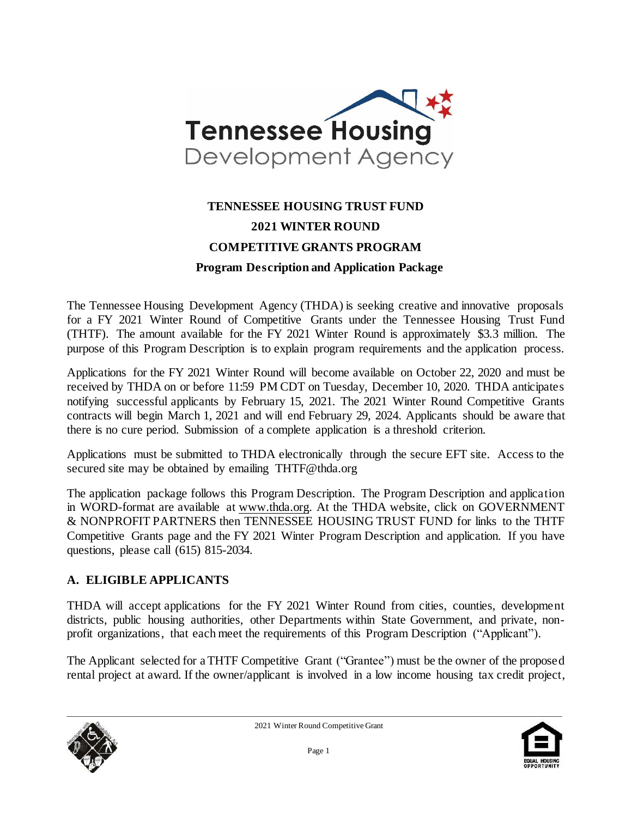

# **TENNESSEE HOUSING TRUST FUND 2021 WINTER ROUND COMPETITIVE GRANTS PROGRAM Program Description and Application Package**

The Tennessee Housing Development Agency (THDA) is seeking creative and innovative proposals for a FY 2021 Winter Round of Competitive Grants under the Tennessee Housing Trust Fund (THTF). The amount available for the FY 2021 Winter Round is approximately \$3.3 million. The purpose of this Program Description is to explain program requirements and the application process.

Applications for the FY 2021 Winter Round will become available on October 22, 2020 and must be received by THDA on or before 11:59 PM CDT on Tuesday, December 10, 2020. THDA anticipates notifying successful applicants by February 15, 2021. The 2021 Winter Round Competitive Grants contracts will begin March 1, 2021 and will end February 29, 2024. Applicants should be aware that there is no cure period. Submission of a complete application is a threshold criterion.

Applications must be submitted to THDA electronically through the secure EFT site. Access to the secured site may be obtained by emailing THTF@thda.org

The application package follows this Program Description. The Program Description and application in WORD-format are available at [www.thda.org.](file:///C:/Users/lmiller/AppData/Local/Microsoft/Windows/Documents%20and%20Settings/CHolloway/Local%20Settings/Temporary%20Internet%20Files/Content.Outlook/Local%20Settings/Temporary%20Internet%20Files/Content.Outlook/UYMA8P3Z/www.thda.org) At the THDA website, click on GOVERNMENT & NONPROFIT PARTNERS then TENNESSEE HOUSING TRUST FUND for links to the THTF Competitive Grants page and the FY 2021 Winter Program Description and application. If you have questions, please call (615) 815-2034.

### **A. ELIGIBLE APPLICANTS**

THDA will accept applications for the FY 2021 Winter Round from cities, counties, development districts, public housing authorities, other Departments within State Government, and private, nonprofit organizations, that each meet the requirements of this Program Description ("Applicant").

The Applicant selected for a THTF Competitive Grant ("Grantee") must be the owner of the proposed rental project at award. If the owner/applicant is involved in a low income housing tax credit project,



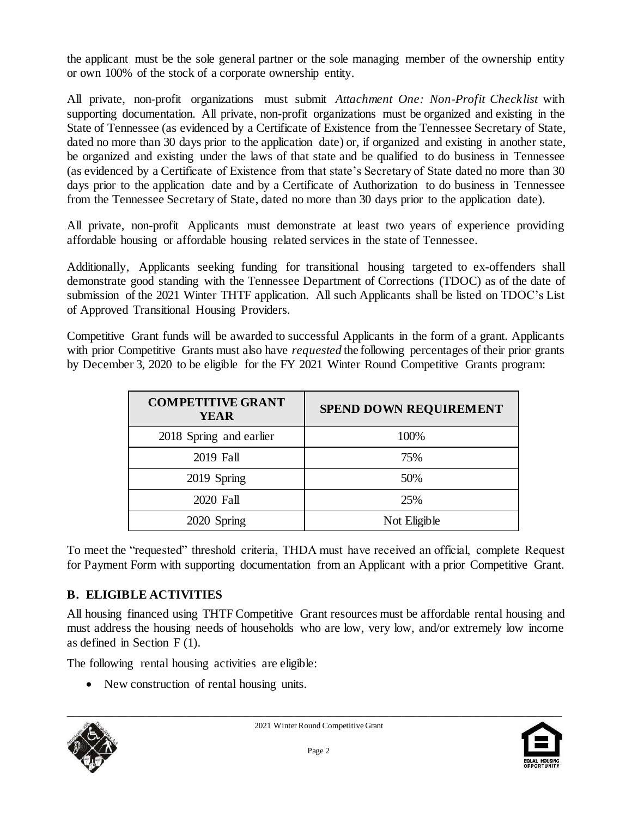the applicant must be the sole general partner or the sole managing member of the ownership entity or own 100% of the stock of a corporate ownership entity.

All private, non-profit organizations must submit *Attachment One: Non-Profit Checklist* with supporting documentation. All private, non-profit organizations must be organized and existing in the State of Tennessee (as evidenced by a Certificate of Existence from the Tennessee Secretary of State, dated no more than 30 days prior to the application date) or, if organized and existing in another state, be organized and existing under the laws of that state and be qualified to do business in Tennessee (as evidenced by a Certificate of Existence from that state's Secretary of State dated no more than 30 days prior to the application date and by a Certificate of Authorization to do business in Tennessee from the Tennessee Secretary of State, dated no more than 30 days prior to the application date).

All private, non-profit Applicants must demonstrate at least two years of experience providing affordable housing or affordable housing related services in the state of Tennessee.

Additionally, Applicants seeking funding for transitional housing targeted to ex-offenders shall demonstrate good standing with the Tennessee Department of Corrections (TDOC) as of the date of submission of the 2021 Winter THTF application. All such Applicants shall be listed on TDOC's List of Approved Transitional Housing Providers.

Competitive Grant funds will be awarded to successful Applicants in the form of a grant. Applicants with prior Competitive Grants must also have *requested* the following percentages of their prior grants by December 3, 2020 to be eligible for the FY 2021 Winter Round Competitive Grants program:

| <b>COMPETITIVE GRANT</b><br><b>YEAR</b> | <b>SPEND DOWN REQUIREMENT</b> |
|-----------------------------------------|-------------------------------|
| 2018 Spring and earlier                 | 100%                          |
| 2019 Fall                               | 75%                           |
| 2019 Spring                             | 50%                           |
| 2020 Fall                               | 25%                           |
| 2020 Spring                             | Not Eligible                  |

To meet the "requested" threshold criteria, THDA must have received an official, complete Request for Payment Form with supporting documentation from an Applicant with a prior Competitive Grant.

# **B. ELIGIBLE ACTIVITIES**

All housing financed using THTF Competitive Grant resources must be affordable rental housing and must address the housing needs of households who are low, very low, and/or extremely low income as defined in Section F (1).

The following rental housing activities are eligible:

• New construction of rental housing units.



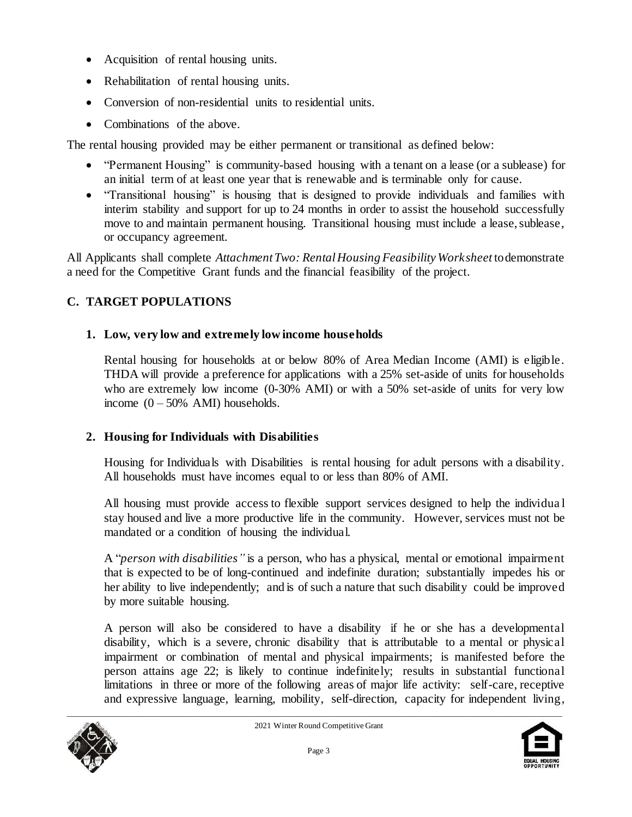- Acquisition of rental housing units.
- Rehabilitation of rental housing units.
- Conversion of non-residential units to residential units.
- Combinations of the above.

The rental housing provided may be either permanent or transitional as defined below:

- "Permanent Housing" is community-based housing with a tenant on a lease (or a sublease) for an initial term of at least one year that is renewable and is terminable only for cause.
- "Transitional housing" is housing that is designed to provide individuals and families with interim stability and support for up to 24 months in order to assist the household successfully move to and maintain permanent housing. Transitional housing must include a lease, sublease, or occupancy agreement.

All Applicants shall complete *Attachment Two: Rental Housing Feasibility Worksheet* to demonstrate a need for the Competitive Grant funds and the financial feasibility of the project.

# **C. TARGET POPULATIONS**

# **1. Low, very low and extremely low income households**

Rental housing for households at or below 80% of Area Median Income (AMI) is eligible. THDA will provide a preference for applications with a 25% set-aside of units for households who are extremely low income (0-30% AMI) or with a 50% set-aside of units for very low income  $(0 - 50\%$  AMI) households.

# **2. Housing for Individuals with Disabilities**

Housing for Individuals with Disabilities is rental housing for adult persons with a disability. All households must have incomes equal to or less than 80% of AMI.

All housing must provide access to flexible support services designed to help the individua l stay housed and live a more productive life in the community. However, services must not be mandated or a condition of housing the individual.

A "*person with disabilities"* is a person, who has a physical, mental or emotional impairment that is expected to be of long-continued and indefinite duration; substantially impedes his or her ability to live independently; and is of such a nature that such disability could be improved by more suitable housing.

A person will also be considered to have a disability if he or she has a developmental disability, which is a severe, chronic disability that is attributable to a mental or physical impairment or combination of mental and physical impairments; is manifested before the person attains age 22; is likely to continue indefinitely; results in substantial functional limitations in three or more of the following areas of major life activity: self-care, receptive and expressive language, learning, mobility, self-direction, capacity for independent living,



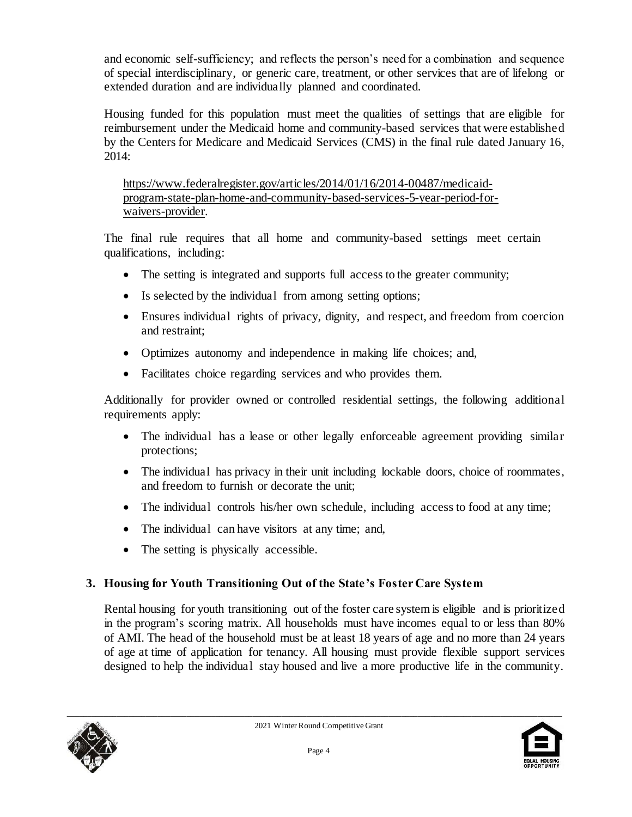and economic self-sufficiency; and reflects the person's need for a combination and sequence of special interdisciplinary, or generic care, treatment, or other services that are of lifelong or extended duration and are individually planned and coordinated.

Housing funded for this population must meet the qualities of settings that are eligible for reimbursement under the Medicaid home and community-based services that were established by the Centers for Medicare and Medicaid Services (CMS) in the final rule dated January 16, 2014:

[https://www.federalregister.gov/articles/2014/01/16/2014-00487/medicaid](https://www.federalregister.gov/articles/2014/01/16/2014-00487/medicaid-program-state-plan-home-and-community-based-services-5-year-period-for-waivers-provider)[program-state-plan-home-and-community-based-services-5-year-period-for](https://www.federalregister.gov/articles/2014/01/16/2014-00487/medicaid-program-state-plan-home-and-community-based-services-5-year-period-for-waivers-provider)[waivers-provider.](https://www.federalregister.gov/articles/2014/01/16/2014-00487/medicaid-program-state-plan-home-and-community-based-services-5-year-period-for-waivers-provider) 

The final rule requires that all home and community-based settings meet certain qualifications, including:

- The setting is integrated and supports full access to the greater community;
- Is selected by the individual from among setting options;
- Ensures individual rights of privacy, dignity, and respect, and freedom from coercion and restraint;
- Optimizes autonomy and independence in making life choices; and,
- Facilitates choice regarding services and who provides them.

Additionally for provider owned or controlled residential settings, the following additional requirements apply:

- The individual has a lease or other legally enforceable agreement providing similar protections;
- The individual has privacy in their unit including lockable doors, choice of roommates, and freedom to furnish or decorate the unit;
- The individual controls his/her own schedule, including access to food at any time;
- The individual can have visitors at any time; and,
- The setting is physically accessible.

# **3. Housing for Youth Transitioning Out of the State's Foster Care System**

Rental housing for youth transitioning out of the foster care system is eligible and is prioritized in the program's scoring matrix. All households must have incomes equal to or less than 80% of AMI. The head of the household must be at least 18 years of age and no more than 24 years of age at time of application for tenancy. All housing must provide flexible support services designed to help the individual stay housed and live a more productive life in the community.



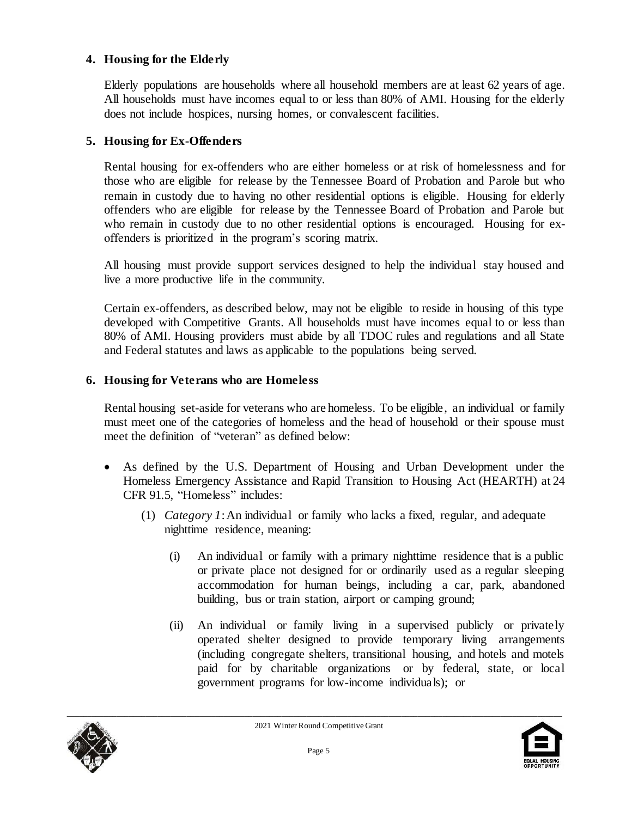#### **4. Housing for the Elderly**

Elderly populations are households where all household members are at least 62 years of age. All households must have incomes equal to or less than 80% of AMI. Housing for the elderly does not include hospices, nursing homes, or convalescent facilities.

#### **5. Housing for Ex-Offenders**

Rental housing for ex-offenders who are either homeless or at risk of homelessness and for those who are eligible for release by the Tennessee Board of Probation and Parole but who remain in custody due to having no other residential options is eligible. Housing for elderly offenders who are eligible for release by the Tennessee Board of Probation and Parole but who remain in custody due to no other residential options is encouraged. Housing for exoffenders is prioritized in the program's scoring matrix.

All housing must provide support services designed to help the individual stay housed and live a more productive life in the community.

Certain ex-offenders, as described below, may not be eligible to reside in housing of this type developed with Competitive Grants. All households must have incomes equal to or less than 80% of AMI. Housing providers must abide by all TDOC rules and regulations and all State and Federal statutes and laws as applicable to the populations being served.

#### **6. Housing for Veterans who are Homeless**

Rental housing set-aside for veterans who are homeless. To be eligible, an individual or family must meet one of the categories of homeless and the head of household or their spouse must meet the definition of "veteran" as defined below:

- As defined by the U.S. Department of Housing and Urban Development under the Homeless Emergency Assistance and Rapid Transition to Housing Act (HEARTH) at 24 CFR 91.5, "Homeless" includes:
	- (1) *Category 1*:An individual or family who lacks a fixed, regular, and adequate nighttime residence, meaning:
		- (i) An individual or family with a primary nighttime residence that is a public or private place not designed for or ordinarily used as a regular sleeping accommodation for human beings, including a car, park, abandoned building, bus or train station, airport or camping ground;
		- (ii) An individual or family living in a supervised publicly or privately operated shelter designed to provide temporary living arrangements (including congregate shelters, transitional housing, and hotels and motels paid for by charitable organizations or by federal, state, or local government programs for low-income individuals); or



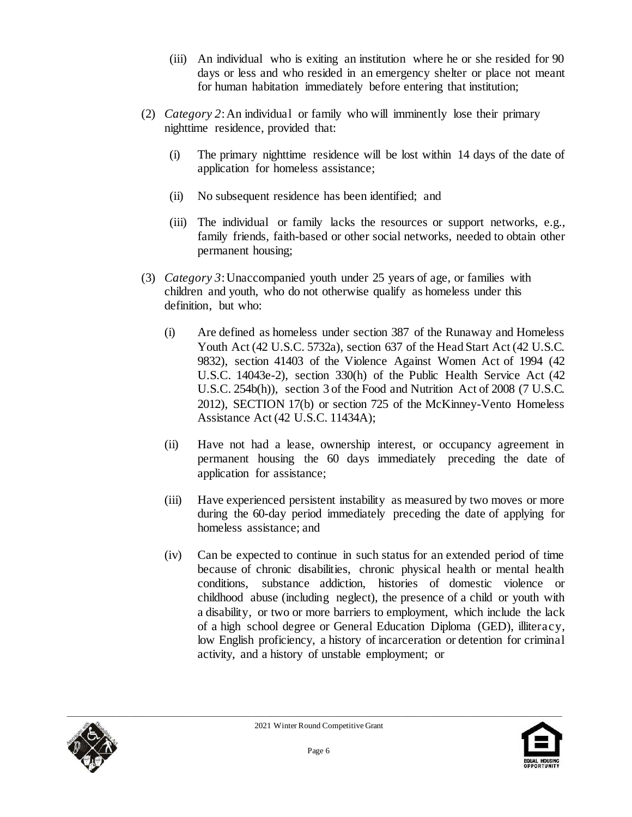- (iii) An individual who is exiting an institution where he or she resided for 90 days or less and who resided in an emergency shelter or place not meant for human habitation immediately before entering that institution;
- (2) *Category 2*:An individual or family who will imminently lose their primary nighttime residence, provided that:
	- (i) The primary nighttime residence will be lost within 14 days of the date of application for homeless assistance;
	- (ii) No subsequent residence has been identified; and
	- (iii) The individual or family lacks the resources or support networks, e.g., family friends, faith-based or other social networks, needed to obtain other permanent housing;
- (3) *Category 3*:Unaccompanied youth under 25 years of age, or families with children and youth, who do not otherwise qualify as homeless under this definition, but who:
	- (i) Are defined as homeless under section 387 of the Runaway and Homeless Youth Act (42 U.S.C. 5732a), section 637 of the Head Start Act (42 U.S.C. 9832), section 41403 of the Violence Against Women Act of 1994 (42 U.S.C. 14043e-2), section 330(h) of the Public Health Service Act (42 U.S.C. 254b(h)), section 3 of the Food and Nutrition Act of 2008 (7 U.S.C. 2012), SECTION 17(b) or section 725 of the McKinney-Vento Homeless Assistance Act (42 U.S.C. 11434A);
	- (ii) Have not had a lease, ownership interest, or occupancy agreement in permanent housing the 60 days immediately preceding the date of application for assistance;
	- (iii) Have experienced persistent instability as measured by two moves or more during the 60-day period immediately preceding the date of applying for homeless assistance; and
	- (iv) Can be expected to continue in such status for an extended period of time because of chronic disabilities, chronic physical health or mental health conditions, substance addiction, histories of domestic violence or childhood abuse (including neglect), the presence of a child or youth with a disability, or two or more barriers to employment, which include the lack of a high school degree or General Education Diploma (GED), illiteracy, low English proficiency, a history of incarceration or detention for criminal activity, and a history of unstable employment; or



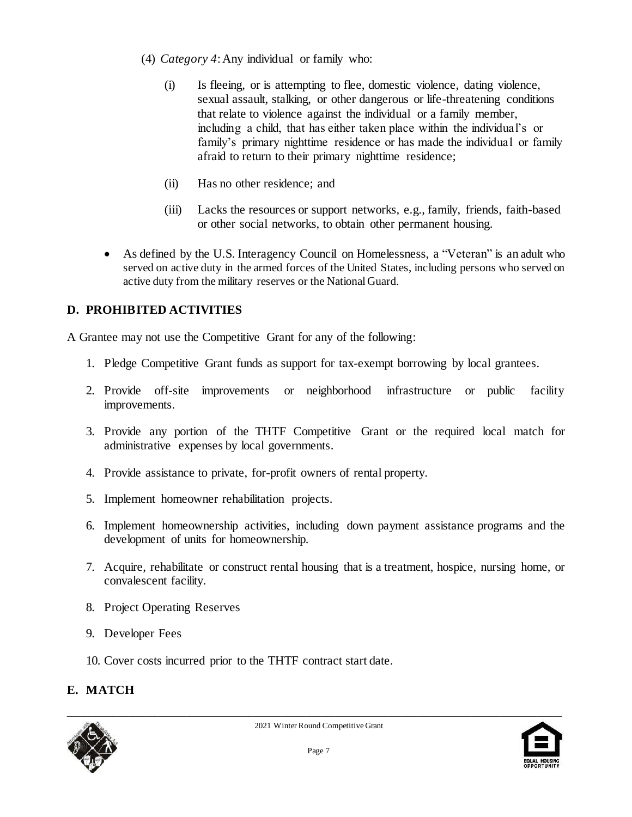- (4) *Category 4*:Any individual or family who:
	- (i) Is fleeing, or is attempting to flee, domestic violence, dating violence, sexual assault, stalking, or other dangerous or life-threatening conditions that relate to violence against the individual or a family member, including a child, that has either taken place within the individual's or family's primary nighttime residence or has made the individual or family afraid to return to their primary nighttime residence;
	- (ii) Has no other residence; and
	- (iii) Lacks the resources or support networks, e.g., family, friends, faith-based or other social networks, to obtain other permanent housing.
- As defined by the U.S. Interagency Council on Homelessness, a "Veteran" is an adult who served on active duty in the armed forces of the United States, including persons who served on active duty from the military reserves or the National Guard.

# **D. PROHIBITED ACTIVITIES**

A Grantee may not use the Competitive Grant for any of the following:

- 1. Pledge Competitive Grant funds as support for tax-exempt borrowing by local grantees.
- 2. Provide off-site improvements or neighborhood infrastructure or public facility improvements.
- 3. Provide any portion of the THTF Competitive Grant or the required local match for administrative expenses by local governments.
- 4. Provide assistance to private, for-profit owners of rental property.
- 5. Implement homeowner rehabilitation projects.
- 6. Implement homeownership activities, including down payment assistance programs and the development of units for homeownership.
- 7. Acquire, rehabilitate or construct rental housing that is a treatment, hospice, nursing home, or convalescent facility.
- 8. Project Operating Reserves
- 9. Developer Fees
- 10. Cover costs incurred prior to the THTF contract start date.

# **E. MATCH**



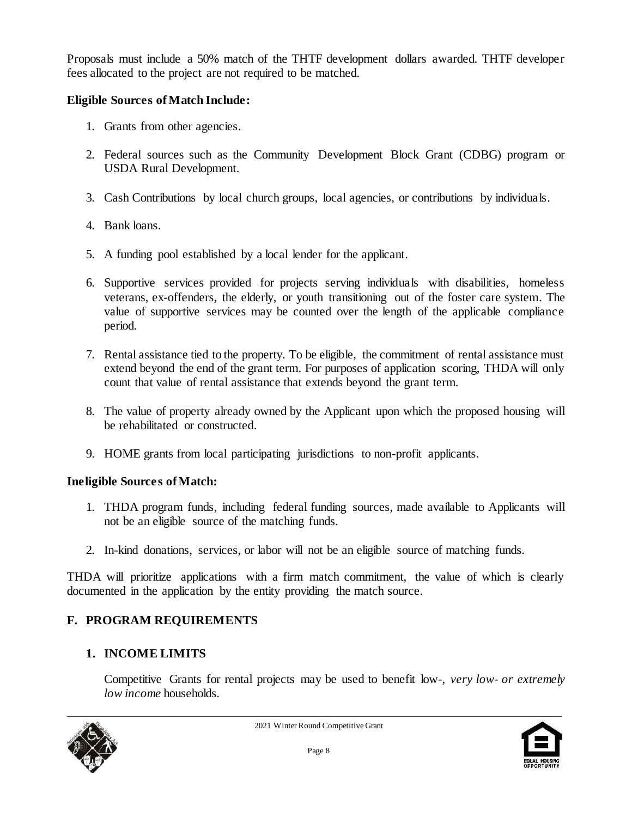Proposals must include a 50% match of the THTF development dollars awarded. THTF developer fees allocated to the project are not required to be matched.

### **Eligible Sources of Match Include:**

- 1. Grants from other agencies.
- 2. Federal sources such as the Community Development Block Grant (CDBG) program or USDA Rural Development.
- 3. Cash Contributions by local church groups, local agencies, or contributions by individuals.
- 4. Bank loans.
- 5. A funding pool established by a local lender for the applicant.
- 6. Supportive services provided for projects serving individuals with disabilities, homeless veterans, ex-offenders, the elderly, or youth transitioning out of the foster care system. The value of supportive services may be counted over the length of the applicable compliance period.
- 7. Rental assistance tied to the property. To be eligible, the commitment of rental assistance must extend beyond the end of the grant term. For purposes of application scoring, THDA will only count that value of rental assistance that extends beyond the grant term.
- 8. The value of property already owned by the Applicant upon which the proposed housing will be rehabilitated or constructed.
- 9. HOME grants from local participating jurisdictions to non-profit applicants.

#### **Ineligible Sources of Match:**

- 1. THDA program funds, including federal funding sources, made available to Applicants will not be an eligible source of the matching funds.
- 2. In-kind donations, services, or labor will not be an eligible source of matching funds.

THDA will prioritize applications with a firm match commitment, the value of which is clearly documented in the application by the entity providing the match source.

# **F. PROGRAM REQUIREMENTS**

### **1. INCOME LIMITS**

Competitive Grants for rental projects may be used to benefit low-, *very low- or extremely low income* households.



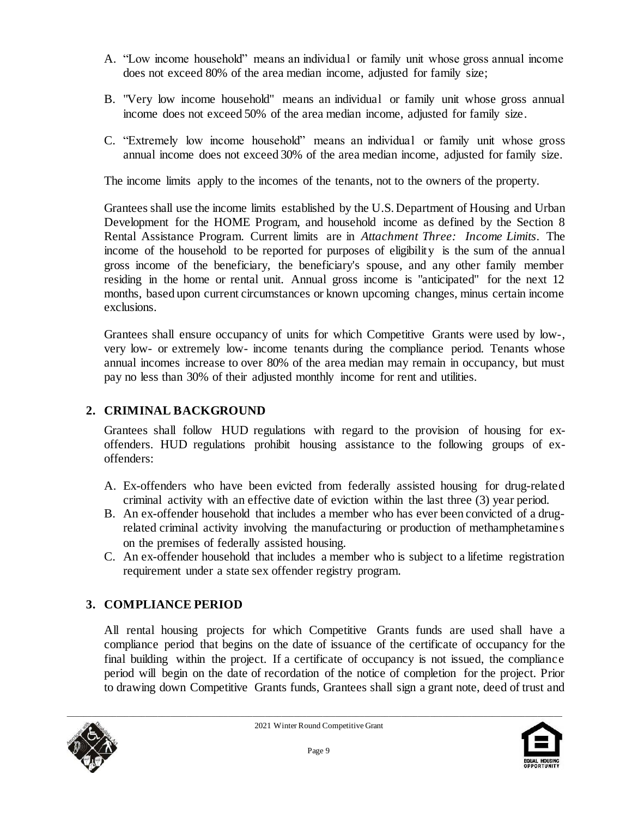- A. "Low income household" means an individual or family unit whose gross annual income does not exceed 80% of the area median income, adjusted for family size;
- B. "Very low income household" means an individual or family unit whose gross annual income does not exceed 50% of the area median income, adjusted for family size.
- C. "Extremely low income household" means an individual or family unit whose gross annual income does not exceed 30% of the area median income, adjusted for family size.

The income limits apply to the incomes of the tenants, not to the owners of the property.

Grantees shall use the income limits established by the U.S. Department of Housing and Urban Development for the HOME Program, and household income as defined by the Section 8 Rental Assistance Program. Current limits are in *Attachment Three: Income Limits*. The income of the household to be reported for purposes of eligibility is the sum of the annual gross income of the beneficiary, the beneficiary's spouse, and any other family member residing in the home or rental unit. Annual gross income is "anticipated" for the next 12 months, based upon current circumstances or known upcoming changes, minus certain income exclusions.

Grantees shall ensure occupancy of units for which Competitive Grants were used by low-, very low- or extremely low- income tenants during the compliance period. Tenants whose annual incomes increase to over 80% of the area median may remain in occupancy, but must pay no less than 30% of their adjusted monthly income for rent and utilities.

# **2. CRIMINAL BACKGROUND**

Grantees shall follow HUD regulations with regard to the provision of housing for exoffenders. HUD regulations prohibit housing assistance to the following groups of exoffenders:

- A. Ex-offenders who have been evicted from federally assisted housing for drug-related criminal activity with an effective date of eviction within the last three (3) year period.
- B. An ex-offender household that includes a member who has ever been convicted of a drugrelated criminal activity involving the manufacturing or production of methamphetamine s on the premises of federally assisted housing.
- C. An ex-offender household that includes a member who is subject to a lifetime registration requirement under a state sex offender registry program.

# **3. COMPLIANCE PERIOD**

All rental housing projects for which Competitive Grants funds are used shall have a compliance period that begins on the date of issuance of the certificate of occupancy for the final building within the project. If a certificate of occupancy is not issued, the compliance period will begin on the date of recordation of the notice of completion for the project. Prior to drawing down Competitive Grants funds, Grantees shall sign a grant note, deed of trust and



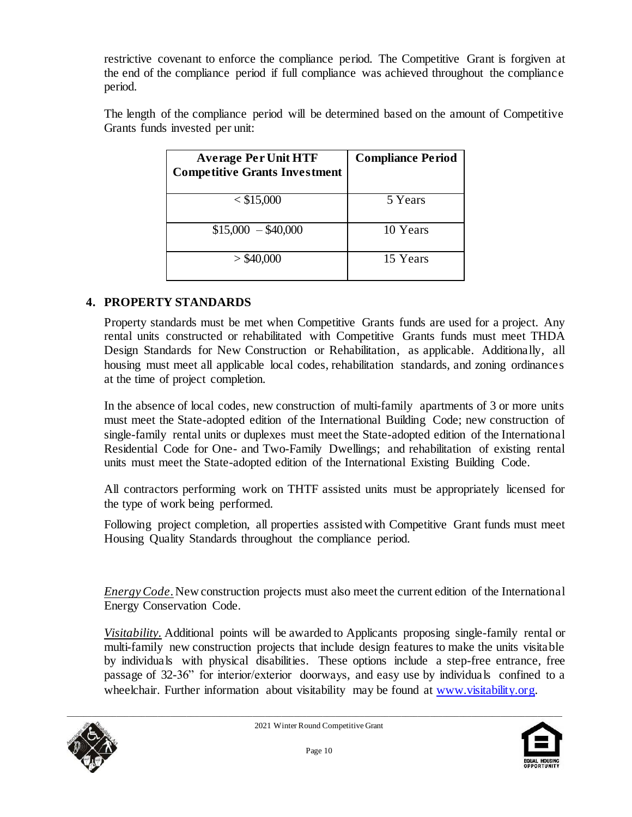restrictive covenant to enforce the compliance period. The Competitive Grant is forgiven at the end of the compliance period if full compliance was achieved throughout the compliance period.

The length of the compliance period will be determined based on the amount of Competitive Grants funds invested per unit:

| <b>Average Per Unit HTF</b><br><b>Competitive Grants Investment</b> | <b>Compliance Period</b> |
|---------------------------------------------------------------------|--------------------------|
| $<$ \$15,000                                                        | 5 Years                  |
| $$15,000 - $40,000$                                                 | 10 Years                 |
| $>$ \$40,000                                                        | 15 Years                 |

### **4. PROPERTY STANDARDS**

Property standards must be met when Competitive Grants funds are used for a project. Any rental units constructed or rehabilitated with Competitive Grants funds must meet THDA Design Standards for New Construction or Rehabilitation, as applicable. Additionally, all housing must meet all applicable local codes, rehabilitation standards, and zoning ordinances at the time of project completion.

In the absence of local codes, new construction of multi-family apartments of 3 or more units must meet the State-adopted edition of the International Building Code; new construction of single-family rental units or duplexes must meet the State-adopted edition of the International Residential Code for One- and Two-Family Dwellings; and rehabilitation of existing rental units must meet the State-adopted edition of the International Existing Building Code.

All contractors performing work on THTF assisted units must be appropriately licensed for the type of work being performed.

Following project completion, all properties assisted with Competitive Grant funds must meet Housing Quality Standards throughout the compliance period.

*Energy Code*. New construction projects must also meet the current edition of the International Energy Conservation Code.

*Visitability.* Additional points will be awarded to Applicants proposing single-family rental or multi-family new construction projects that include design features to make the units visitable by individuals with physical disabilities. These options include a step-free entrance, free passage of 32-36" for interior/exterior doorways, and easy use by individuals confined to a wheelchair. Further information about visitability may be found at www.visitability.org.



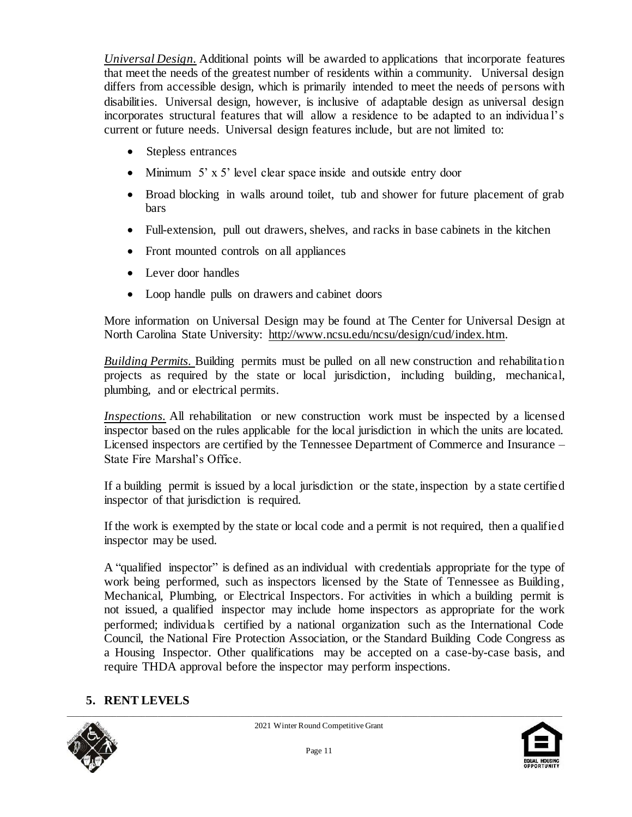*Universal Design.* Additional points will be awarded to applications that incorporate features that meet the needs of the greatest number of residents within a community. Universal design differs from accessible design, which is primarily intended to meet the needs of persons with disabilities. Universal design, however, is inclusive of adaptable design as universal design incorporates structural features that will allow a residence to be adapted to an individua l's current or future needs. Universal design features include, but are not limited to:

- Stepless entrances
- Minimum 5' x 5' level clear space inside and outside entry door
- Broad blocking in walls around toilet, tub and shower for future placement of grab bars
- Full-extension, pull out drawers, shelves, and racks in base cabinets in the kitchen
- Front mounted controls on all appliances
- Lever door handles
- Loop handle pulls on drawers and cabinet doors

More information on Universal Design may be found at The Center for Universal Design at North Carolina State University: [http://www.ncsu.edu/ncsu/design/cud/index.htm.](http://www.ncsu.edu/ncsu/design/cud/index.htm) 

*Building Permits.* Building permits must be pulled on all new construction and rehabilitation projects as required by the state or local jurisdiction, including building, mechanical, plumbing, and or electrical permits.

*Inspections.* All rehabilitation or new construction work must be inspected by a licensed inspector based on the rules applicable for the local jurisdiction in which the units are located. Licensed inspectors are certified by the Tennessee Department of Commerce and Insurance – State Fire Marshal's Office.

If a building permit is issued by a local jurisdiction or the state, inspection by a state certified inspector of that jurisdiction is required.

If the work is exempted by the state or local code and a permit is not required, then a qualified inspector may be used.

A "qualified inspector" is defined as an individual with credentials appropriate for the type of work being performed, such as inspectors licensed by the State of Tennessee as Building, Mechanical, Plumbing, or Electrical Inspectors. For activities in which a building permit is not issued, a qualified inspector may include home inspectors as appropriate for the work performed; individuals certified by a national organization such as the International Code Council, the National Fire Protection Association, or the Standard Building Code Congress as a Housing Inspector. Other qualifications may be accepted on a case-by-case basis, and require THDA approval before the inspector may perform inspections.

# **5. RENT LEVELS**



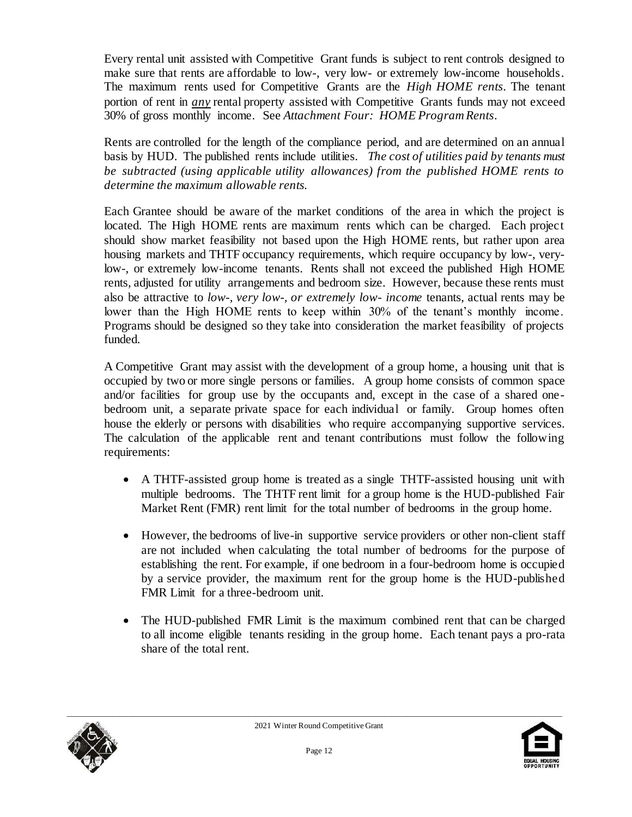Every rental unit assisted with Competitive Grant funds is subject to rent controls designed to make sure that rents are affordable to low-, very low- or extremely low-income households. The maximum rents used for Competitive Grants are the *High HOME rents.* The tenant portion of rent in *any* rental property assisted with Competitive Grants funds may not exceed 30% of gross monthly income. See *Attachment Four: HOME Program Rents*.

Rents are controlled for the length of the compliance period, and are determined on an annual basis by HUD. The published rents include utilities. *The cost of utilities paid by tenants must be subtracted (using applicable utility allowances) from the published HOME rents to determine the maximum allowable rents.*

Each Grantee should be aware of the market conditions of the area in which the project is located. The High HOME rents are maximum rents which can be charged. Each project should show market feasibility not based upon the High HOME rents, but rather upon area housing markets and THTF occupancy requirements, which require occupancy by low-, verylow-, or extremely low-income tenants. Rents shall not exceed the published High HOME rents, adjusted for utility arrangements and bedroom size. However, because these rents must also be attractive to *low-, very low-, or extremely low- income* tenants, actual rents may be lower than the High HOME rents to keep within 30% of the tenant's monthly income. Programs should be designed so they take into consideration the market feasibility of projects funded.

A Competitive Grant may assist with the development of a group home, a housing unit that is occupied by two or more single persons or families. A group home consists of common space and/or facilities for group use by the occupants and, except in the case of a shared onebedroom unit, a separate private space for each individual or family. Group homes often house the elderly or persons with disabilities who require accompanying supportive services. The calculation of the applicable rent and tenant contributions must follow the following requirements:

- A THTF-assisted group home is treated as a single THTF-assisted housing unit with multiple bedrooms. The THTF rent limit for a group home is the HUD-published Fair Market Rent (FMR) rent limit for the total number of bedrooms in the group home.
- However, the bedrooms of live-in supportive service providers or other non-client staff are not included when calculating the total number of bedrooms for the purpose of establishing the rent. For example, if one bedroom in a four-bedroom home is occupied by a service provider, the maximum rent for the group home is the HUD-published FMR Limit for a three-bedroom unit.
- The HUD-published FMR Limit is the maximum combined rent that can be charged to all income eligible tenants residing in the group home. Each tenant pays a pro-rata share of the total rent.



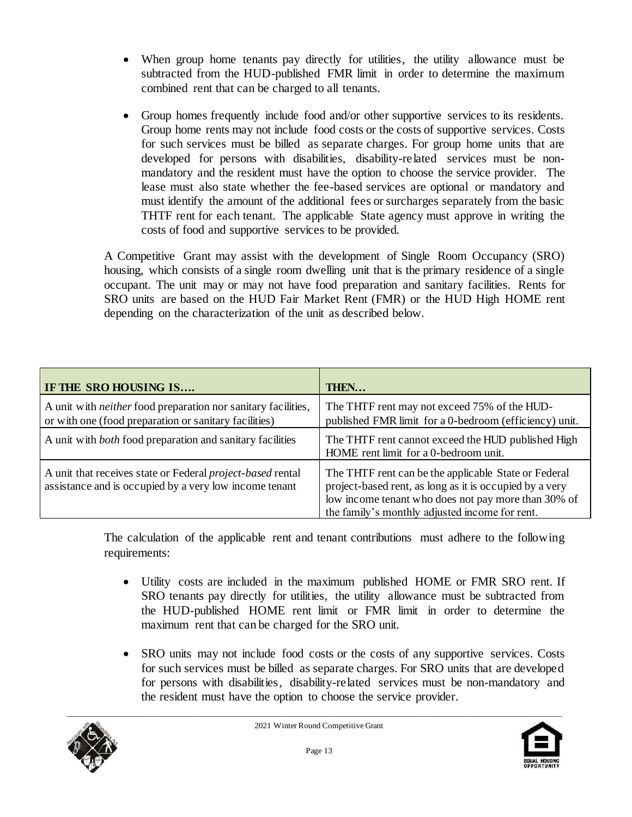- When group home tenants pay directly for utilities, the utility allowance must be subtracted from the HUD-published FMR limit in order to determine the maximum combined rent that can be charged to all tenants.
- Group homes frequently include food and/or other supportive services to its residents. Group home rents may not include food costs or the costs of supportive services. Costs for such services must be billed as separate charges. For group home units that are developed for persons with disabilities, disability-related services must be nonmandatory and the resident must have the option to choose the service provider. The lease must also state whether the fee-based services are optional or mandatory and must identify the amount of the additional fees or surcharges separately from the basic THTF rent for each tenant. The applicable State agency must approve in writing the costs of food and supportive services to be provided.

A Competitive Grant may assist with the development of Single Room Occupancy (SRO) housing, which consists of a single room dwelling unit that is the primary residence of a single occupant. The unit may or may not have food preparation and sanitary facilities. Rents for SRO units are based on the HUD Fair Market Rent (FMR) or the HUD High HOME rent depending on the characterization of the unit as described below.

| IF THE SRO HOUSING IS                                                                                                         | <b>THEN</b>                                                                                                                                                                                                              |
|-------------------------------------------------------------------------------------------------------------------------------|--------------------------------------------------------------------------------------------------------------------------------------------------------------------------------------------------------------------------|
| A unit with <i>neither</i> food preparation nor sanitary facilities,<br>or with one (food preparation or sanitary facilities) | The THTF rent may not exceed 75% of the HUD-<br>published FMR limit for a 0-bedroom (efficiency) unit.                                                                                                                   |
| A unit with <i>both</i> food preparation and sanitary facilities                                                              | The THTF rent cannot exceed the HUD published High<br>HOME rent limit for a 0-bedroom unit.                                                                                                                              |
| A unit that receives state or Federal <i>project-based</i> rental<br>assistance and is occupied by a very low income tenant   | The THTF rent can be the applicable State or Federal<br>project-based rent, as long as it is occupied by a very<br>low income tenant who does not pay more than 30% of<br>the family's monthly adjusted income for rent. |

The calculation of the applicable rent and tenant contributions must adhere to the following requirements:

- Utility costs are included in the maximum published HOME or FMR SRO rent. If SRO tenants pay directly for utilities, the utility allowance must be subtracted from the HUD-published HOME rent limit or FMR limit in order to determine the maximum rent that can be charged for the SRO unit.
- SRO units may not include food costs or the costs of any supportive services. Costs for such services must be billed as separate charges. For SRO units that are developed for persons with disabilities, disability-related services must be non-mandatory and the resident must have the option to choose the service provider.



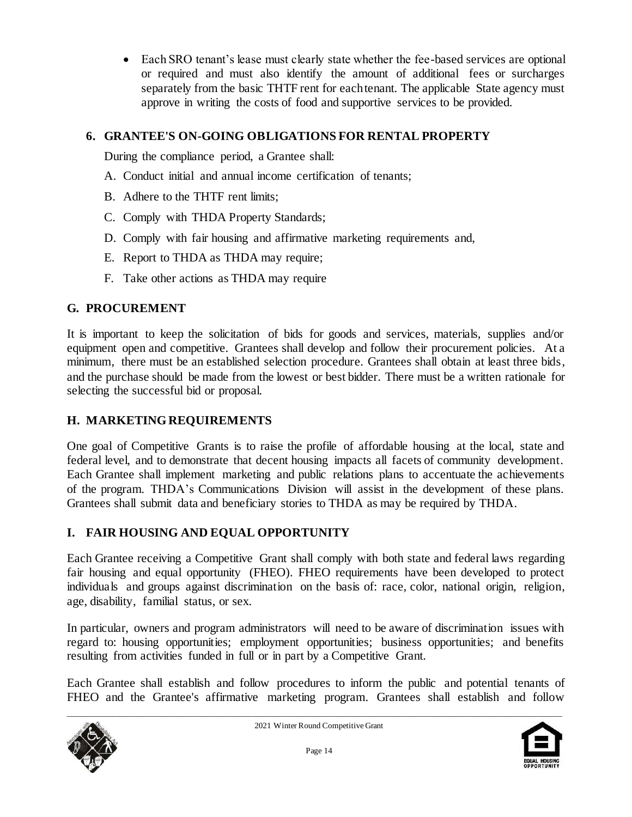Each SRO tenant's lease must clearly state whether the fee-based services are optional or required and must also identify the amount of additional fees or surcharges separately from the basic THTF rent for each tenant. The applicable State agency must approve in writing the costs of food and supportive services to be provided.

# **6. GRANTEE'S ON-GOING OBLIGATIONS FOR RENTAL PROPERTY**

During the compliance period, a Grantee shall:

- A. Conduct initial and annual income certification of tenants;
- B. Adhere to the THTF rent limits;
- C. Comply with THDA Property Standards;
- D. Comply with fair housing and affirmative marketing requirements and,
- E. Report to THDA as THDA may require;
- F. Take other actions as THDA may require

### **G. PROCUREMENT**

It is important to keep the solicitation of bids for goods and services, materials, supplies and/or equipment open and competitive. Grantees shall develop and follow their procurement policies. At a minimum, there must be an established selection procedure. Grantees shall obtain at least three bids, and the purchase should be made from the lowest or best bidder. There must be a written rationale for selecting the successful bid or proposal.

# **H. MARKETING REQUIREMENTS**

One goal of Competitive Grants is to raise the profile of affordable housing at the local, state and federal level, and to demonstrate that decent housing impacts all facets of community development. Each Grantee shall implement marketing and public relations plans to accentuate the achievements of the program. THDA's Communications Division will assist in the development of these plans. Grantees shall submit data and beneficiary stories to THDA as may be required by THDA.

### **I. FAIR HOUSING AND EQUAL OPPORTUNITY**

Each Grantee receiving a Competitive Grant shall comply with both state and federal laws regarding fair housing and equal opportunity (FHEO). FHEO requirements have been developed to protect individuals and groups against discrimination on the basis of: race, color, national origin, religion, age, disability, familial status, or sex.

In particular, owners and program administrators will need to be aware of discrimination issues with regard to: housing opportunities; employment opportunities; business opportunities; and benefits resulting from activities funded in full or in part by a Competitive Grant.

Each Grantee shall establish and follow procedures to inform the public and potential tenants of FHEO and the Grantee's affirmative marketing program. Grantees shall establish and follow



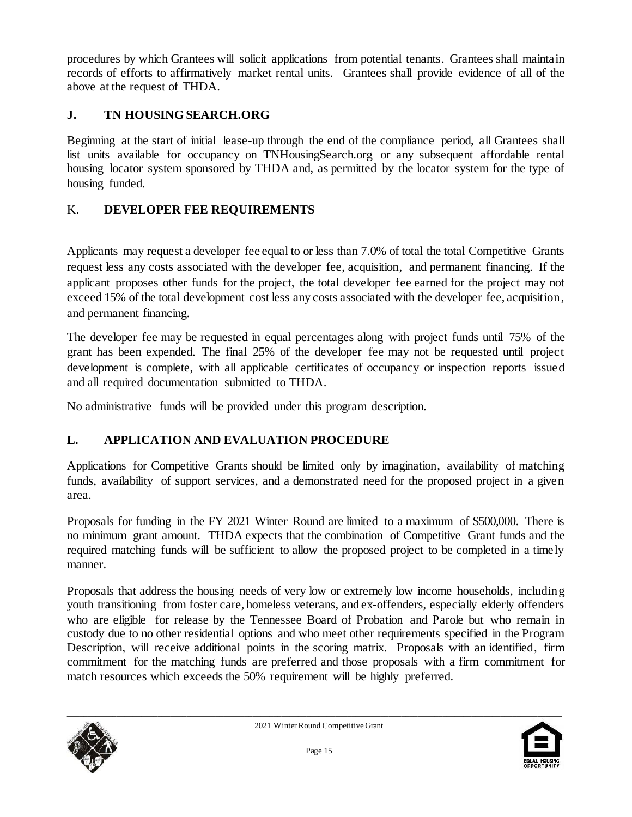procedures by which Grantees will solicit applications from potential tenants. Grantees shall maintain records of efforts to affirmatively market rental units. Grantees shall provide evidence of all of the above at the request of THDA.

# **J. TN HOUSING SEARCH.ORG**

Beginning at the start of initial lease-up through the end of the compliance period, all Grantees shall list units available for occupancy on TNHousingSearch.org or any subsequent affordable rental housing locator system sponsored by THDA and, as permitted by the locator system for the type of housing funded.

# K. **DEVELOPER FEE REQUIREMENTS**

Applicants may request a developer fee equal to or less than 7.0% of total the total Competitive Grants request less any costs associated with the developer fee, acquisition, and permanent financing. If the applicant proposes other funds for the project, the total developer fee earned for the project may not exceed 15% of the total development cost less any costs associated with the developer fee, acquisition, and permanent financing.

The developer fee may be requested in equal percentages along with project funds until 75% of the grant has been expended. The final 25% of the developer fee may not be requested until project development is complete, with all applicable certificates of occupancy or inspection reports issued and all required documentation submitted to THDA.

No administrative funds will be provided under this program description.

# **L. APPLICATION AND EVALUATION PROCEDURE**

Applications for Competitive Grants should be limited only by imagination, availability of matching funds, availability of support services, and a demonstrated need for the proposed project in a given area.

Proposals for funding in the FY 2021 Winter Round are limited to a maximum of \$500,000. There is no minimum grant amount. THDA expects that the combination of Competitive Grant funds and the required matching funds will be sufficient to allow the proposed project to be completed in a timely manner.

Proposals that address the housing needs of very low or extremely low income households, including youth transitioning from foster care, homeless veterans, and ex-offenders, especially elderly offenders who are eligible for release by the Tennessee Board of Probation and Parole but who remain in custody due to no other residential options and who meet other requirements specified in the Program Description, will receive additional points in the scoring matrix. Proposals with an identified, firm commitment for the matching funds are preferred and those proposals with a firm commitment for match resources which exceeds the 50% requirement will be highly preferred.



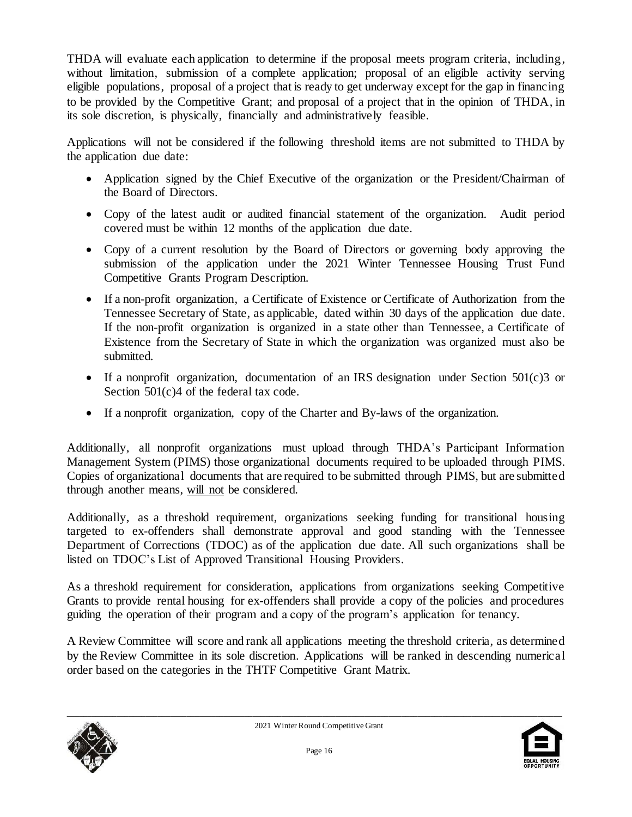THDA will evaluate each application to determine if the proposal meets program criteria, including, without limitation, submission of a complete application; proposal of an eligible activity serving eligible populations, proposal of a project that is ready to get underway except for the gap in financing to be provided by the Competitive Grant; and proposal of a project that in the opinion of THDA, in its sole discretion, is physically, financially and administratively feasible.

Applications will not be considered if the following threshold items are not submitted to THDA by the application due date:

- Application signed by the Chief Executive of the organization or the President/Chairman of the Board of Directors.
- Copy of the latest audit or audited financial statement of the organization. Audit period covered must be within 12 months of the application due date.
- Copy of a current resolution by the Board of Directors or governing body approving the submission of the application under the 2021 Winter Tennessee Housing Trust Fund Competitive Grants Program Description.
- If a non-profit organization, a Certificate of Existence or Certificate of Authorization from the Tennessee Secretary of State, as applicable, dated within 30 days of the application due date. If the non-profit organization is organized in a state other than Tennessee, a Certificate of Existence from the Secretary of State in which the organization was organized must also be submitted.
- If a nonprofit organization, documentation of an IRS designation under Section 501(c)3 or Section 501(c)4 of the federal tax code.
- If a nonprofit organization, copy of the Charter and By-laws of the organization.

Additionally, all nonprofit organizations must upload through THDA's Participant Information Management System (PIMS) those organizational documents required to be uploaded through PIMS. Copies of organizational documents that are required to be submitted through PIMS, but are submitted through another means, will not be considered.

Additionally, as a threshold requirement, organizations seeking funding for transitional housing targeted to ex-offenders shall demonstrate approval and good standing with the Tennessee Department of Corrections (TDOC) as of the application due date. All such organizations shall be listed on TDOC's List of Approved Transitional Housing Providers.

As a threshold requirement for consideration, applications from organizations seeking Competitive Grants to provide rental housing for ex-offenders shall provide a copy of the policies and procedures guiding the operation of their program and a copy of the program's application for tenancy.

A Review Committee will score and rank all applications meeting the threshold criteria, as determined by the Review Committee in its sole discretion. Applications will be ranked in descending numerical order based on the categories in the THTF Competitive Grant Matrix.



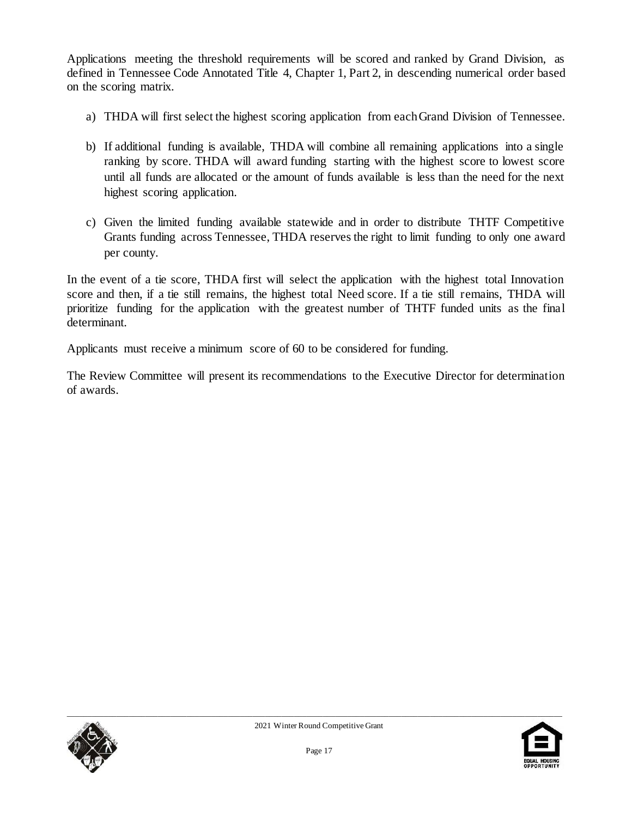Applications meeting the threshold requirements will be scored and ranked by Grand Division, as defined in Tennessee Code Annotated Title 4, Chapter 1, Part 2, in descending numerical order based on the scoring matrix.

- a) THDA will first select the highest scoring application from each Grand Division of Tennessee.
- b) If additional funding is available, THDA will combine all remaining applications into a single ranking by score. THDA will award funding starting with the highest score to lowest score until all funds are allocated or the amount of funds available is less than the need for the next highest scoring application.
- c) Given the limited funding available statewide and in order to distribute THTF Competitive Grants funding across Tennessee, THDA reserves the right to limit funding to only one award per county.

In the event of a tie score, THDA first will select the application with the highest total Innovation score and then, if a tie still remains, the highest total Need score. If a tie still remains, THDA will prioritize funding for the application with the greatest number of THTF funded units as the final determinant.

Applicants must receive a minimum score of 60 to be considered for funding.

The Review Committee will present its recommendations to the Executive Director for determination of awards.



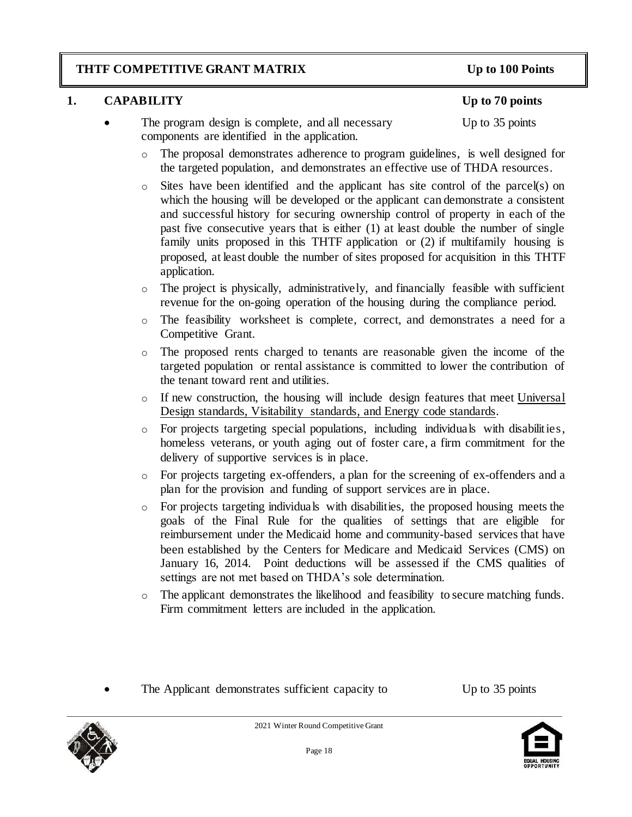### **THTF COMPETITIVE GRANT MATRIX Up to 100 Points**

### **1. CAPABILITY Up to 70 points**

- The program design is complete, and all necessary Up to 35 points components are identified in the application.
	- o The proposal demonstrates adherence to program guidelines, is well designed for the targeted population, and demonstrates an effective use of THDA resources.
	- o Sites have been identified and the applicant has site control of the parcel(s) on which the housing will be developed or the applicant can demonstrate a consistent and successful history for securing ownership control of property in each of the past five consecutive years that is either (1) at least double the number of single family units proposed in this THTF application or (2) if multifamily housing is proposed, at least double the number of sites proposed for acquisition in this THTF application.
	- o The project is physically, administratively, and financially feasible with sufficient revenue for the on-going operation of the housing during the compliance period.
	- o The feasibility worksheet is complete, correct, and demonstrates a need for a Competitive Grant.
	- o The proposed rents charged to tenants are reasonable given the income of the targeted population or rental assistance is committed to lower the contribution of the tenant toward rent and utilities.
	- $\circ$  If new construction, the housing will include design features that meet Universal Design standards, Visitability standards, and Energy code standards.
	- o For projects targeting special populations, including individuals with disabilities, homeless veterans, or youth aging out of foster care, a firm commitment for the delivery of supportive services is in place.
	- o For projects targeting ex-offenders, a plan for the screening of ex-offenders and a plan for the provision and funding of support services are in place.
	- o For projects targeting individuals with disabilities, the proposed housing meets the goals of the Final Rule for the qualities of settings that are eligible for reimbursement under the Medicaid home and community-based services that have been established by the Centers for Medicare and Medicaid Services (CMS) on January 16, 2014. Point deductions will be assessed if the CMS qualities of settings are not met based on THDA's sole determination.
	- o The applicant demonstrates the likelihood and feasibility to secure matching funds. Firm commitment letters are included in the application.
- The Applicant demonstrates sufficient capacity to Up to 35 points





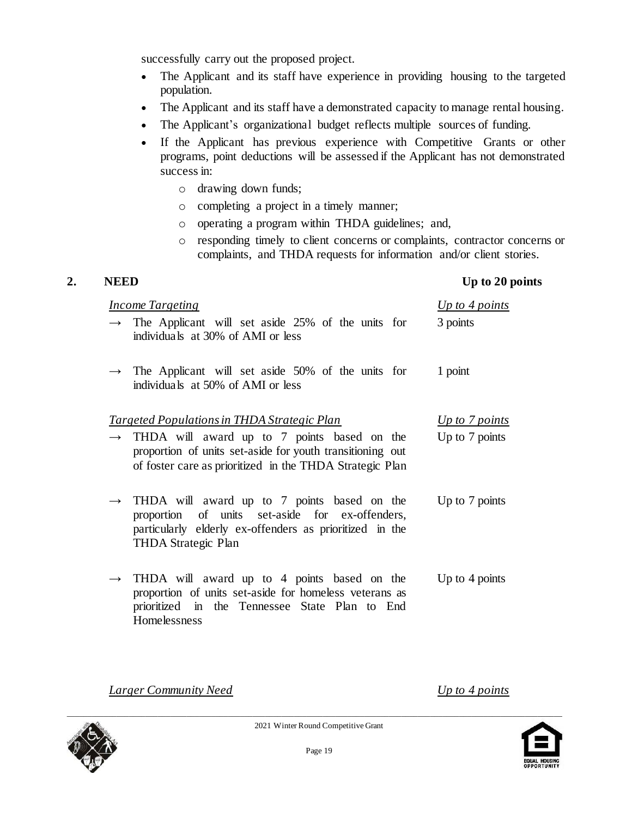successfully carry out the proposed project.

- The Applicant and its staff have experience in providing housing to the targeted population.
- The Applicant and its staff have a demonstrated capacity to manage rental housing.
- The Applicant's organizational budget reflects multiple sources of funding.
- If the Applicant has previous experience with Competitive Grants or other programs, point deductions will be assessed if the Applicant has not demonstrated success in:
	- o drawing down funds;
	- o completing a project in a timely manner;
	- o operating a program within THDA guidelines; and,
	- o responding timely to client concerns or complaints, contractor concerns or complaints, and THDA requests for information and/or client stories.

#### **2. NEED Up to 20 points**

| Up to $4$ points<br><b>Income Targeting</b> |                                                                                                                                                                                  |                  |
|---------------------------------------------|----------------------------------------------------------------------------------------------------------------------------------------------------------------------------------|------------------|
|                                             | $\rightarrow$ The Applicant will set aside 25% of the units for<br>individuals at 30% of AMI or less                                                                             | 3 points         |
|                                             | $\rightarrow$ The Applicant will set aside 50% of the units for<br>individuals at 50% of AMI or less                                                                             | 1 point          |
|                                             | Targeted Populations in THDA Strategic Plan                                                                                                                                      | Up to $7$ points |
|                                             | THDA will award up to 7 points based on the<br>proportion of units set-aside for youth transitioning out<br>of foster care as prioritized in the THDA Strategic Plan             | Up to 7 points   |
| $\rightarrow$                               | THDA will award up to 7 points based on the<br>proportion of units set-aside for ex-offenders,<br>particularly elderly ex-offenders as prioritized in the<br>THDA Strategic Plan | Up to 7 points   |
| $\rightarrow$                               | THDA will award up to 4 points based on the<br>proportion of units set-aside for homeless veterans as                                                                            | Up to $4$ points |

*Larger Community Need Up to 4 points*

Homelessness



prioritized in the Tennessee State Plan to End